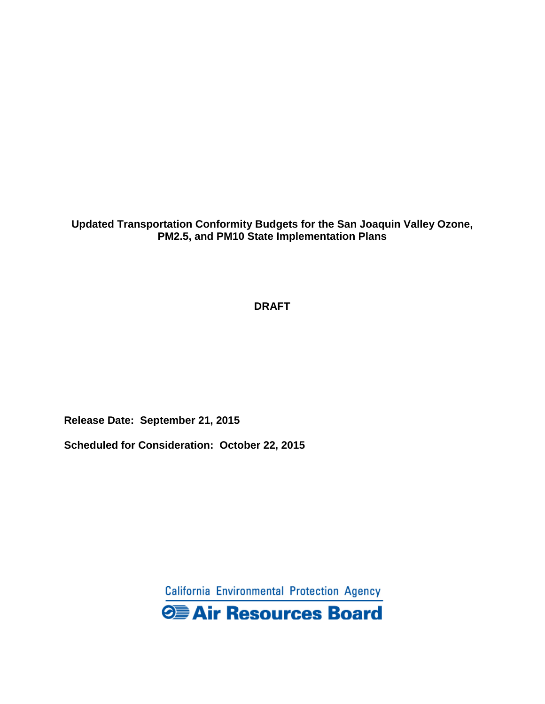**Updated Transportation Conformity Budgets for the San Joaquin Valley Ozone, PM2.5, and PM10 State Implementation Plans** 

## **DRAFT**

**Release Date: September 21, 2015**

**Scheduled for Consideration: October 22, 2015**

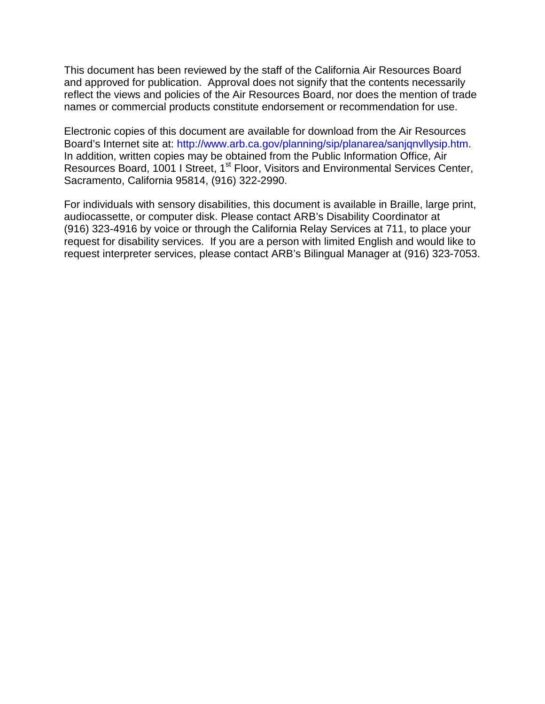This document has been reviewed by the staff of the California Air Resources Board and approved for publication. Approval does not signify that the contents necessarily reflect the views and policies of the Air Resources Board, nor does the mention of trade names or commercial products constitute endorsement or recommendation for use.

Electronic copies of this document are available for download from the Air Resources Board's Internet site at: http://www.arb.ca.gov/planning/sip/planarea/sanjqnvllysip.htm. In addition, written copies may be obtained from the Public Information Office, Air Resources Board, 1001 I Street, 1<sup>st</sup> Floor, Visitors and Environmental Services Center, Sacramento, California 95814, (916) 322-2990.

For individuals with sensory disabilities, this document is available in Braille, large print, audiocassette, or computer disk. Please contact ARB's Disability Coordinator at (916) 323-4916 by voice or through the California Relay Services at 711, to place your request for disability services. If you are a person with limited English and would like to request interpreter services, please contact ARB's Bilingual Manager at (916) 323-7053.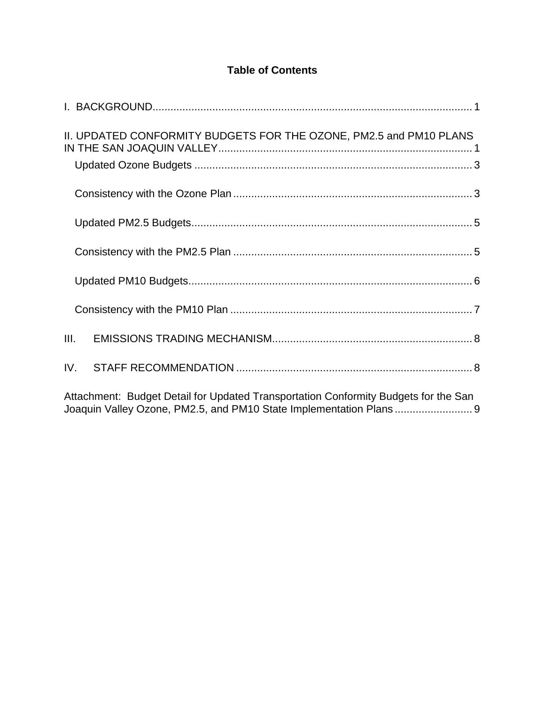# **Table of Contents**

| II. UPDATED CONFORMITY BUDGETS FOR THE OZONE, PM2.5 and PM10 PLANS                  |
|-------------------------------------------------------------------------------------|
|                                                                                     |
|                                                                                     |
|                                                                                     |
|                                                                                     |
|                                                                                     |
| III.                                                                                |
| IV.                                                                                 |
| Attachment: Budget Detail for Updated Transportation Conformity Budgets for the San |

[Joaquin Valley Ozone, PM2.5, and PM10 State Implementation Plans](#page-12-0) .......................... 9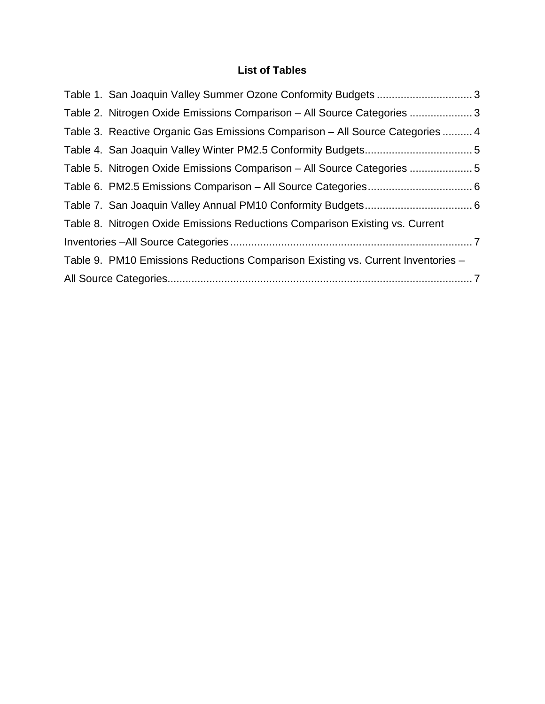# **List of Tables**

| Table 2. Nitrogen Oxide Emissions Comparison – All Source Categories 3           |  |
|----------------------------------------------------------------------------------|--|
| Table 3. Reactive Organic Gas Emissions Comparison – All Source Categories  4    |  |
|                                                                                  |  |
| Table 5. Nitrogen Oxide Emissions Comparison – All Source Categories 5           |  |
|                                                                                  |  |
|                                                                                  |  |
| Table 8. Nitrogen Oxide Emissions Reductions Comparison Existing vs. Current     |  |
|                                                                                  |  |
| Table 9. PM10 Emissions Reductions Comparison Existing vs. Current Inventories - |  |
|                                                                                  |  |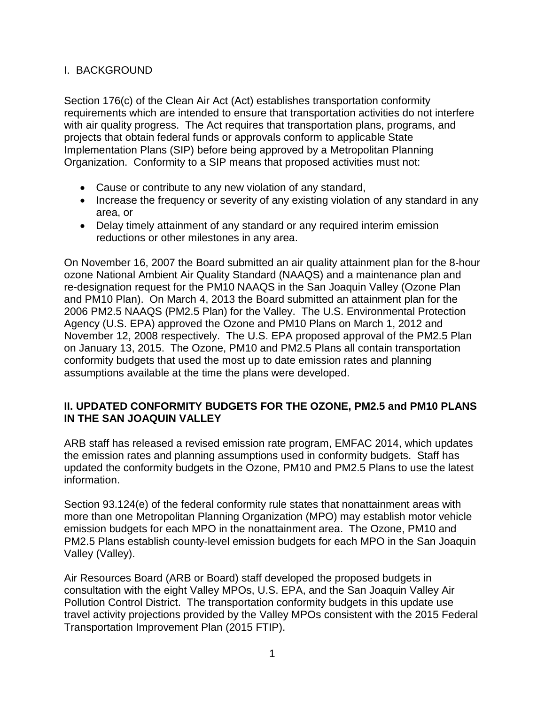### <span id="page-4-0"></span>I. BACKGROUND

Section 176(c) of the Clean Air Act (Act) establishes transportation conformity requirements which are intended to ensure that transportation activities do not interfere with air quality progress. The Act requires that transportation plans, programs, and projects that obtain federal funds or approvals conform to applicable State Implementation Plans (SIP) before being approved by a Metropolitan Planning Organization. Conformity to a SIP means that proposed activities must not:

- Cause or contribute to any new violation of any standard,
- Increase the frequency or severity of any existing violation of any standard in any area, or
- Delay timely attainment of any standard or any required interim emission reductions or other milestones in any area.

On November 16, 2007 the Board submitted an air quality attainment plan for the 8-hour ozone National Ambient Air Quality Standard (NAAQS) and a maintenance plan and re-designation request for the PM10 NAAQS in the San Joaquin Valley (Ozone Plan and PM10 Plan). On March 4, 2013 the Board submitted an attainment plan for the 2006 PM2.5 NAAQS (PM2.5 Plan) for the Valley. The U.S. Environmental Protection Agency (U.S. EPA) approved the Ozone and PM10 Plans on March 1, 2012 and November 12, 2008 respectively. The U.S. EPA proposed approval of the PM2.5 Plan on January 13, 2015. The Ozone, PM10 and PM2.5 Plans all contain transportation conformity budgets that used the most up to date emission rates and planning assumptions available at the time the plans were developed.

### <span id="page-4-1"></span>**II. UPDATED CONFORMITY BUDGETS FOR THE OZONE, PM2.5 and PM10 PLANS IN THE SAN JOAQUIN VALLEY**

ARB staff has released a revised emission rate program, EMFAC 2014, which updates the emission rates and planning assumptions used in conformity budgets. Staff has updated the conformity budgets in the Ozone, PM10 and PM2.5 Plans to use the latest information.

Section 93.124(e) of the federal conformity rule states that nonattainment areas with more than one Metropolitan Planning Organization (MPO) may establish motor vehicle emission budgets for each MPO in the nonattainment area. The Ozone, PM10 and PM2.5 Plans establish county-level emission budgets for each MPO in the San Joaquin Valley (Valley).

Air Resources Board (ARB or Board) staff developed the proposed budgets in consultation with the eight Valley MPOs, U.S. EPA, and the San Joaquin Valley Air Pollution Control District. The transportation conformity budgets in this update use travel activity projections provided by the Valley MPOs consistent with the 2015 Federal Transportation Improvement Plan (2015 FTIP).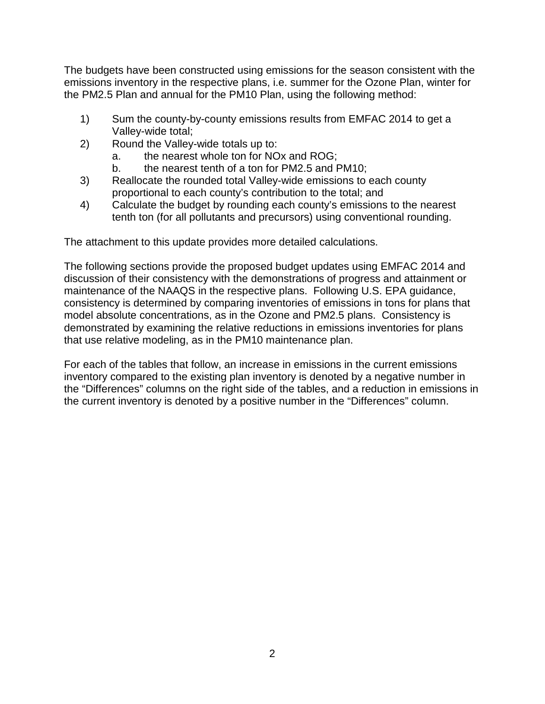The budgets have been constructed using emissions for the season consistent with the emissions inventory in the respective plans, i.e. summer for the Ozone Plan, winter for the PM2.5 Plan and annual for the PM10 Plan, using the following method:

- 1) Sum the county-by-county emissions results from EMFAC 2014 to get a Valley-wide total;
- 2) Round the Valley-wide totals up to:
	- a. the nearest whole ton for NOx and ROG;
	- b. the nearest tenth of a ton for PM2.5 and PM10;
- 3) Reallocate the rounded total Valley-wide emissions to each county proportional to each county's contribution to the total; and
- 4) Calculate the budget by rounding each county's emissions to the nearest tenth ton (for all pollutants and precursors) using conventional rounding.

The attachment to this update provides more detailed calculations.

The following sections provide the proposed budget updates using EMFAC 2014 and discussion of their consistency with the demonstrations of progress and attainment or maintenance of the NAAQS in the respective plans. Following U.S. EPA guidance, consistency is determined by comparing inventories of emissions in tons for plans that model absolute concentrations, as in the Ozone and PM2.5 plans. Consistency is demonstrated by examining the relative reductions in emissions inventories for plans that use relative modeling, as in the PM10 maintenance plan.

For each of the tables that follow, an increase in emissions in the current emissions inventory compared to the existing plan inventory is denoted by a negative number in the "Differences" columns on the right side of the tables, and a reduction in emissions in the current inventory is denoted by a positive number in the "Differences" column.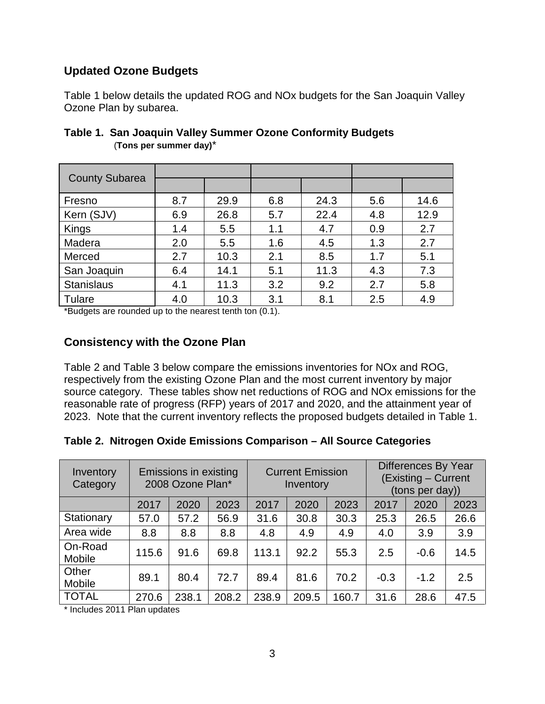# <span id="page-6-0"></span>**Updated Ozone Budgets**

[Table 1](#page-6-2) below details the updated ROG and NOx budgets for the San Joaquin Valley Ozone Plan by subarea.

| <b>County Subarea</b> |     |      |     |      |     |      |
|-----------------------|-----|------|-----|------|-----|------|
| Fresno                | 8.7 | 29.9 | 6.8 | 24.3 | 5.6 | 14.6 |
| Kern (SJV)            | 6.9 | 26.8 | 5.7 | 22.4 | 4.8 | 12.9 |
| Kings                 | 1.4 | 5.5  | 1.1 | 4.7  | 0.9 | 2.7  |
| Madera                | 2.0 | 5.5  | 1.6 | 4.5  | 1.3 | 2.7  |
| Merced                | 2.7 | 10.3 | 2.1 | 8.5  | 1.7 | 5.1  |
| San Joaquin           | 6.4 | 14.1 | 5.1 | 11.3 | 4.3 | 7.3  |
| <b>Stanislaus</b>     | 4.1 | 11.3 | 3.2 | 9.2  | 2.7 | 5.8  |
| Tulare                | 4.0 | 10.3 | 3.1 | 8.1  | 2.5 | 4.9  |

## <span id="page-6-2"></span>**Table 1. San Joaquin Valley Summer Ozone Conformity Budgets**  (**Tons per summer day)**\*

\*Budgets are rounded up to the nearest tenth ton (0.1).

## <span id="page-6-1"></span>**Consistency with the Ozone Plan**

Table 2 and Table 3 below compare the emissions inventories for NOx and ROG, respectively from the existing Ozone Plan and the most current inventory by major source category. These tables show net reductions of ROG and NOx emissions for the reasonable rate of progress (RFP) years of 2017 and 2020, and the attainment year of 2023. Note that the current inventory reflects the proposed budgets detailed in Table 1.

## <span id="page-6-3"></span>**Table 2. Nitrogen Oxide Emissions Comparison – All Source Categories**

| Inventory<br>Category | Emissions in existing<br>2008 Ozone Plan* |       | <b>Current Emission</b><br>Inventory |       |       | Differences By Year<br>(Existing - Current<br>(tons per day)) |        |        |      |
|-----------------------|-------------------------------------------|-------|--------------------------------------|-------|-------|---------------------------------------------------------------|--------|--------|------|
|                       | 2017                                      | 2020  | 2023                                 | 2017  | 2020  | 2023                                                          | 2017   | 2020   | 2023 |
| Stationary            | 57.0                                      | 57.2  | 56.9                                 | 31.6  | 30.8  | 30.3                                                          | 25.3   | 26.5   | 26.6 |
| Area wide             | 8.8                                       | 8.8   | 8.8                                  | 4.8   | 4.9   | 4.9                                                           | 4.0    | 3.9    | 3.9  |
| On-Road<br>Mobile     | 115.6                                     | 91.6  | 69.8                                 | 113.1 | 92.2  | 55.3                                                          | 2.5    | $-0.6$ | 14.5 |
| Other<br>Mobile       | 89.1                                      | 80.4  | 72.7                                 | 89.4  | 81.6  | 70.2                                                          | $-0.3$ | $-1.2$ | 2.5  |
| <b>TOTAL</b>          | 270.6                                     | 238.1 | 208.2                                | 238.9 | 209.5 | 160.7                                                         | 31.6   | 28.6   | 47.5 |

\* Includes 2011 Plan updates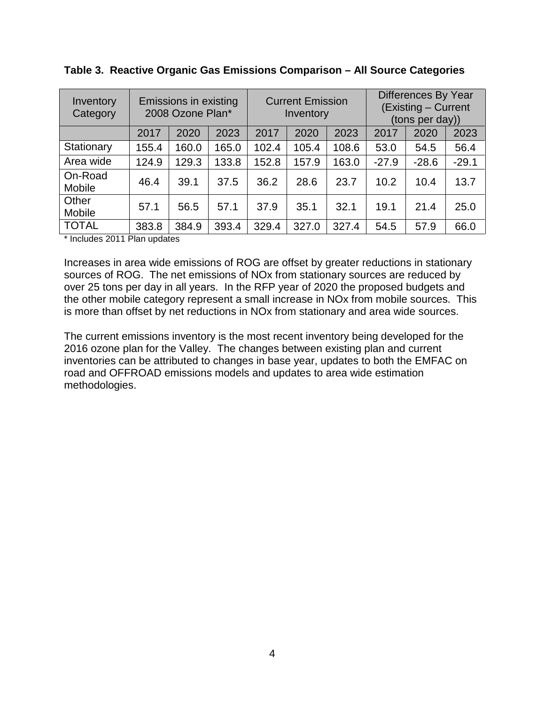| Inventory<br>Category | Emissions in existing<br>2008 Ozone Plan* |       | <b>Current Emission</b><br>Inventory |       |       | Differences By Year<br>(Existing - Current<br>(tons per day)) |         |         |         |
|-----------------------|-------------------------------------------|-------|--------------------------------------|-------|-------|---------------------------------------------------------------|---------|---------|---------|
|                       | 2017                                      | 2020  | 2023                                 | 2017  | 2020  | 2023                                                          | 2017    | 2020    | 2023    |
| Stationary            | 155.4                                     | 160.0 | 165.0                                | 102.4 | 105.4 | 108.6                                                         | 53.0    | 54.5    | 56.4    |
| Area wide             | 124.9                                     | 129.3 | 133.8                                | 152.8 | 157.9 | 163.0                                                         | $-27.9$ | $-28.6$ | $-29.1$ |
| On-Road<br>Mobile     | 46.4                                      | 39.1  | 37.5                                 | 36.2  | 28.6  | 23.7                                                          | 10.2    | 10.4    | 13.7    |
| Other<br>Mobile       | 57.1                                      | 56.5  | 57.1                                 | 37.9  | 35.1  | 32.1                                                          | 19.1    | 21.4    | 25.0    |
| <b>TOTAL</b>          | 383.8                                     | 384.9 | 393.4                                | 329.4 | 327.0 | 327.4                                                         | 54.5    | 57.9    | 66.0    |

<span id="page-7-1"></span>**Table 3. Reactive Organic Gas Emissions Comparison – All Source Categories**

\* Includes 2011 Plan updates

Increases in area wide emissions of ROG are offset by greater reductions in stationary sources of ROG. The net emissions of NOx from stationary sources are reduced by over 25 tons per day in all years. In the RFP year of 2020 the proposed budgets and the other mobile category represent a small increase in NOx from mobile sources. This is more than offset by net reductions in NOx from stationary and area wide sources.

<span id="page-7-0"></span>The current emissions inventory is the most recent inventory being developed for the 2016 ozone plan for the Valley. The changes between existing plan and current inventories can be attributed to changes in base year, updates to both the EMFAC on road and OFFROAD emissions models and updates to area wide estimation methodologies.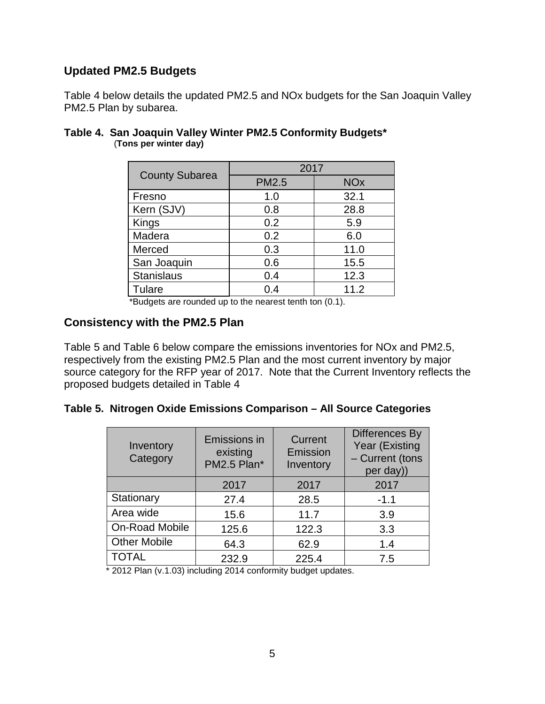## **Updated PM2.5 Budgets**

[Table 4](#page-8-1) below details the updated PM2.5 and NOx budgets for the San Joaquin Valley PM2.5 Plan by subarea.

|                       | 2017         |                       |  |  |
|-----------------------|--------------|-----------------------|--|--|
| <b>County Subarea</b> | <b>PM2.5</b> | <b>NO<sub>x</sub></b> |  |  |
| Fresno                | 1.0          | 32.1                  |  |  |
| Kern (SJV)            | 0.8          | 28.8                  |  |  |
| Kings                 | 0.2          | 5.9                   |  |  |
| Madera                | 0.2          | 6.0                   |  |  |
| Merced                | 0.3          | 11.0                  |  |  |
| San Joaquin           | 0.6          | 15.5                  |  |  |
| <b>Stanislaus</b>     | 0.4          | 12.3                  |  |  |
| Tulare                | 0.4          | 11.2                  |  |  |

### <span id="page-8-1"></span>**Table 4. San Joaquin Valley Winter PM2.5 Conformity Budgets\*** (**Tons per winter day)**

\*Budgets are rounded up to the nearest tenth ton (0.1).

## <span id="page-8-0"></span>**[Consistency with the PM2.5 Plan](#page-8-2)**

[Table 5](#page-8-2) and [Table 6](#page-9-1) below compare the emissions inventories for NOx and PM2.5, respectively from the existing PM2.5 Plan and the most current inventory by major source category for the RFP year of 2017. Note that the Current Inventory reflects the proposed budgets detailed in [Table 4](#page-8-1)

#### <span id="page-8-2"></span>**Table 5. Nitrogen Oxide Emissions Comparison – All Source Categories**

| Inventory<br>Category | Emissions in<br>existing<br>PM2.5 Plan* | Current<br>Emission<br>Inventory | <b>Differences By</b><br>Year (Existing<br>- Current (tons<br>per day)) |
|-----------------------|-----------------------------------------|----------------------------------|-------------------------------------------------------------------------|
|                       | 2017                                    | 2017                             | 2017                                                                    |
| Stationary            | 27.4                                    | 28.5                             | $-1.1$                                                                  |
| Area wide             | 15.6                                    | 11.7                             | 3.9                                                                     |
| On-Road Mobile        | 125.6                                   | 122.3                            | 3.3                                                                     |
| <b>Other Mobile</b>   | 64.3                                    | 62.9                             | 1.4                                                                     |
| <b>TOTAL</b>          | 232.9                                   | 225.4                            | 7.5                                                                     |

\* 2012 Plan (v.1.03) including 2014 conformity budget updates.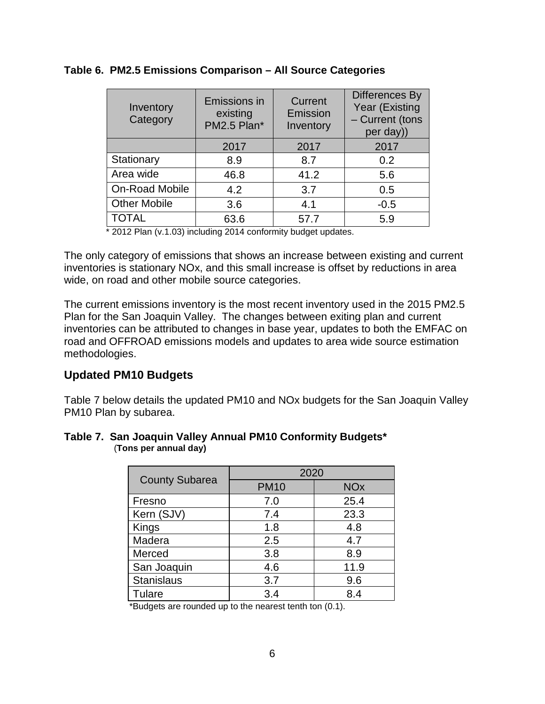| Inventory<br>Category | <b>Emissions in</b><br>existing<br>PM2.5 Plan* | Current<br>Emission<br>Inventory | Differences By<br>Year (Existing<br>- Current (tons<br>per day)) |
|-----------------------|------------------------------------------------|----------------------------------|------------------------------------------------------------------|
|                       | 2017                                           | 2017                             | 2017                                                             |
| Stationary            | 8.9                                            | 8.7                              | 0.2                                                              |
| Area wide             | 46.8                                           | 41.2                             | 5.6                                                              |
| On-Road Mobile        | 4.2                                            | 3.7                              | 0.5                                                              |
| <b>Other Mobile</b>   | 3.6                                            | 4.1                              | $-0.5$                                                           |
| <b>TOTAL</b>          | 63.6                                           | 57.7                             | 5.9                                                              |

#### <span id="page-9-1"></span>**Table 6. PM2.5 Emissions Comparison – All Source Categories**

\* 2012 Plan (v.1.03) including 2014 conformity budget updates.

The only category of emissions that shows an increase between existing and current inventories is stationary NOx, and this small increase is offset by reductions in area wide, on road and other mobile source categories.

The current emissions inventory is the most recent inventory used in the 2015 PM2.5 Plan for the San Joaquin Valley. The changes between exiting plan and current inventories can be attributed to changes in base year, updates to both the EMFAC on road and OFFROAD emissions models and updates to area wide source estimation methodologies.

## <span id="page-9-0"></span>**Updated PM10 Budgets**

[Table 7](#page-9-2) below details the updated PM10 and NOx budgets for the San Joaquin Valley PM10 Plan by subarea.

#### <span id="page-9-2"></span>**Table 7. San Joaquin Valley Annual PM10 Conformity Budgets\*** (**Tons per annual day)**

|                       | 2020        |                       |  |  |
|-----------------------|-------------|-----------------------|--|--|
| <b>County Subarea</b> | <b>PM10</b> | <b>NO<sub>x</sub></b> |  |  |
| Fresno                | 7.0         | 25.4                  |  |  |
| Kern (SJV)            | 7.4         | 23.3                  |  |  |
| Kings                 | 1.8         | 4.8                   |  |  |
| Madera                | 2.5         | 4.7                   |  |  |
| Merced                | 3.8         | 8.9                   |  |  |
| San Joaquin           | 4.6         | 11.9                  |  |  |
| <b>Stanislaus</b>     | 3.7         | 9.6                   |  |  |
| Tulare                | 3.4         | 8.4                   |  |  |

\*Budgets are rounded up to the nearest tenth ton (0.1).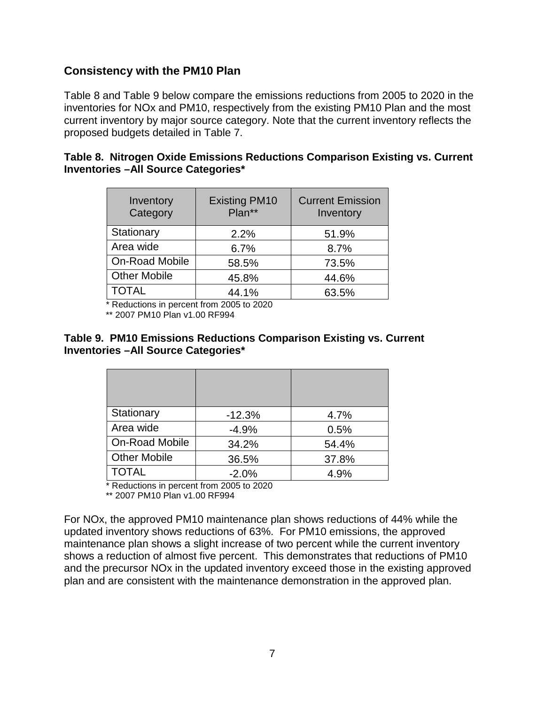## <span id="page-10-0"></span>**Consistency with the PM10 Plan**

[Table 8](#page-10-2) and [Table 9](#page-10-3) below compare the emissions reductions from 2005 to 2020 in the inventories for NOx and PM10, respectively from the existing PM10 Plan and the most current inventory by major source category. Note that the current inventory reflects the proposed budgets detailed in [Table 7.](#page-9-2)

<span id="page-10-2"></span>

|  | Table 8. Nitrogen Oxide Emissions Reductions Comparison Existing vs. Current |  |  |
|--|------------------------------------------------------------------------------|--|--|
|  | Inventories - All Source Categories*                                         |  |  |

| Inventory<br>Category | <b>Existing PM10</b><br>Plan** | <b>Current Emission</b><br>Inventory |
|-----------------------|--------------------------------|--------------------------------------|
| Stationary            | 2.2%                           | 51.9%                                |
| Area wide             | 6.7%                           | 8.7%                                 |
| <b>On-Road Mobile</b> | 58.5%                          | 73.5%                                |
| <b>Other Mobile</b>   | 45.8%                          | 44.6%                                |
| <b>TOTAL</b>          | 44.1%                          | 63.5%                                |

\* Reductions in percent from 2005 to 2020

\*\* 2007 PM10 Plan v1.00 RF994

#### <span id="page-10-3"></span>**Table 9. PM10 Emissions Reductions Comparison Existing vs. Current Inventories –All Source Categories\***

| Stationary            | $-12.3%$ | 4.7%  |
|-----------------------|----------|-------|
| Area wide             | $-4.9%$  | 0.5%  |
| <b>On-Road Mobile</b> | 34.2%    | 54.4% |
| <b>Other Mobile</b>   | 36.5%    | 37.8% |
| <b>TOTAL</b>          | $-2.0%$  | 4.9%  |

\* Reductions in percent from 2005 to 2020

<span id="page-10-1"></span>\*\* 2007 PM10 Plan v1.00 RF994

For NOx, the approved PM10 maintenance plan shows reductions of 44% while the updated inventory shows reductions of 63%. For PM10 emissions, the approved maintenance plan shows a slight increase of two percent while the current inventory shows a reduction of almost five percent. This demonstrates that reductions of PM10 and the precursor NOx in the updated inventory exceed those in the existing approved plan and are consistent with the maintenance demonstration in the approved plan.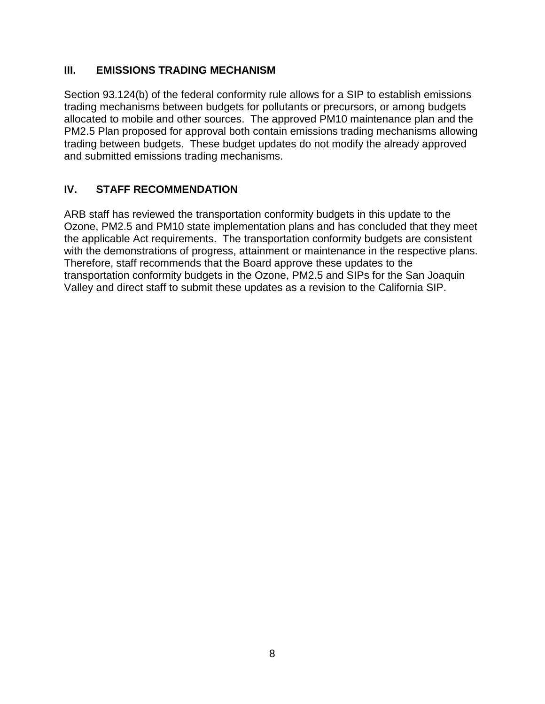## **III. EMISSIONS TRADING MECHANISM**

Section 93.124(b) of the federal conformity rule allows for a SIP to establish emissions trading mechanisms between budgets for pollutants or precursors, or among budgets allocated to mobile and other sources. The approved PM10 maintenance plan and the PM2.5 Plan proposed for approval both contain emissions trading mechanisms allowing trading between budgets. These budget updates do not modify the already approved and submitted emissions trading mechanisms.

# <span id="page-11-0"></span>**IV. STAFF RECOMMENDATION**

ARB staff has reviewed the transportation conformity budgets in this update to the Ozone, PM2.5 and PM10 state implementation plans and has concluded that they meet the applicable Act requirements. The transportation conformity budgets are consistent with the demonstrations of progress, attainment or maintenance in the respective plans. Therefore, staff recommends that the Board approve these updates to the transportation conformity budgets in the Ozone, PM2.5 and SIPs for the San Joaquin Valley and direct staff to submit these updates as a revision to the California SIP.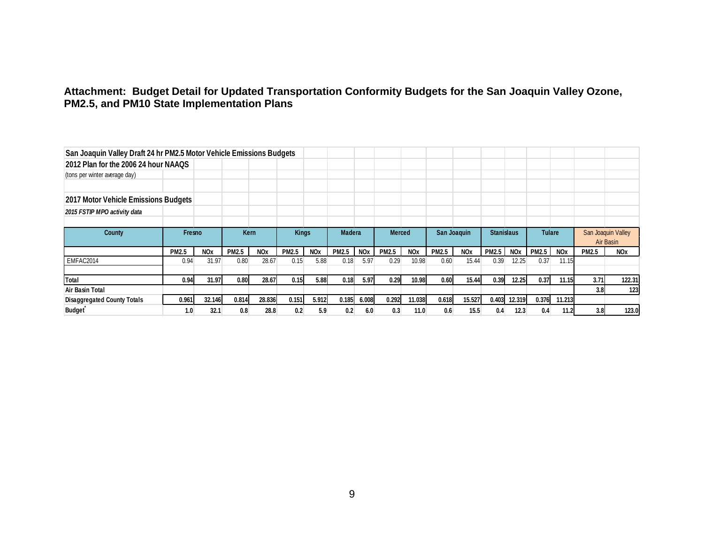### **Attachment: Budget Detail for Updated Transportation Conformity Budgets for the San Joaquin Valley Ozone, PM2.5, and PM10 State Implementation Plans**

<span id="page-12-0"></span>

| San Joaquin Valley Draft 24 hr PM2.5 Motor Vehicle Emissions Budgets |              |                       |              |            |              |            |                  |            |               |                       |              |            |                   |            |               |            |                    |            |
|----------------------------------------------------------------------|--------------|-----------------------|--------------|------------|--------------|------------|------------------|------------|---------------|-----------------------|--------------|------------|-------------------|------------|---------------|------------|--------------------|------------|
| 2012 Plan for the 2006 24 hour NAAQS                                 |              |                       |              |            |              |            |                  |            |               |                       |              |            |                   |            |               |            |                    |            |
| (tons per winter average day)                                        |              |                       |              |            |              |            |                  |            |               |                       |              |            |                   |            |               |            |                    |            |
|                                                                      |              |                       |              |            |              |            |                  |            |               |                       |              |            |                   |            |               |            |                    |            |
| 2017 Motor Vehicle Emissions Budgets                                 |              |                       |              |            |              |            |                  |            |               |                       |              |            |                   |            |               |            |                    |            |
| 2015 FSTIP MPO activity data                                         |              |                       |              |            |              |            |                  |            |               |                       |              |            |                   |            |               |            |                    |            |
|                                                                      |              |                       |              |            |              |            |                  |            |               |                       |              |            |                   |            |               |            |                    |            |
| County                                                               | Fresno       |                       | <b>Kern</b>  |            | <b>Kings</b> |            | <b>Madera</b>    |            | <b>Merced</b> |                       | San Joaquin  |            | <b>Stanislaus</b> |            | <b>Tulare</b> |            | San Joaquin Valley |            |
|                                                                      |              |                       |              |            |              |            |                  |            |               |                       |              |            |                   |            |               |            |                    | Air Basin  |
|                                                                      | <b>PM2.5</b> | <b>NO<sub>x</sub></b> | <b>PM2.5</b> | <b>NOx</b> | <b>PM2.5</b> | <b>NOx</b> | <b>PM2.5</b>     | <b>NOx</b> | <b>PM2.5</b>  | <b>NO<sub>x</sub></b> | <b>PM2.5</b> | <b>NOx</b> | <b>PM2.5</b>      | <b>NOx</b> | <b>PM2.5</b>  | <b>NOx</b> | <b>PM2.5</b>       | <b>NOx</b> |
| EMFAC2014                                                            | 0.94         | 31.97                 | 0.80         | 28.67      | 0.15         | 5.88       | 0.18             | 5.97       | 0.29          | 10.98                 | 0.60         | 15.44      | 0.39              | 12.25      | 0.37          | 11.15      |                    |            |
|                                                                      |              |                       |              |            |              |            |                  |            |               |                       |              |            |                   |            |               |            |                    |            |
| Total                                                                | 0.94         | 31.97                 | 0.80         | 28.67      | 0.15         | 5.88       | 0.18             | 5.97       | 0.29          | 10.98                 | 0.60         | 15.44      | 0.39              | 12.25      | 0.37          | 11.15      | 3.71               | 122.31     |
| Air Basin Total                                                      |              |                       |              |            |              |            |                  |            |               |                       |              |            |                   |            |               |            | 3.8                | 123        |
| <b>Disaggregated County Totals</b>                                   | 0.961        | 32.146                | 0.814        | 28.836     | 0.151        | 5.912      | 0.185            | 6.008      | 0.292         | 11.038                | 0.618        | 15.527     | 0.403             | 12.319     | 0.376         | 11.213     |                    |            |
| <b>Budget</b>                                                        | 1.0          | 32.1                  | 0.8          | 28.8       | 0.2          | 5.9        | 0.2 <sub>0</sub> | 6.0        | 0.3           | 11.0                  | 0.6          | 15.5       | 0.4               | 12.3       | 0.4           | 11.2       | 3.8                | 123.0      |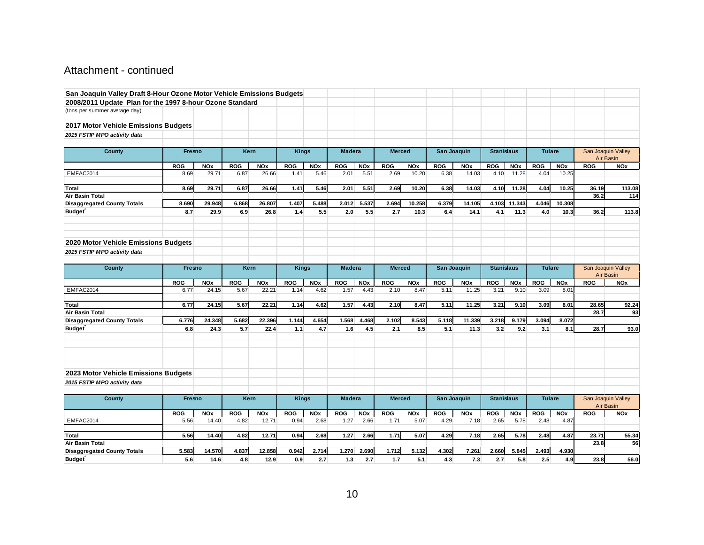## Attachment - continued

| San Joaquin Valley Draft 8-Hour Ozone Motor Vehicle Emissions Budgets |            |            |            |             |              |            |               |            |               |            |            |             |                   |                   |               |            |            |                                        |
|-----------------------------------------------------------------------|------------|------------|------------|-------------|--------------|------------|---------------|------------|---------------|------------|------------|-------------|-------------------|-------------------|---------------|------------|------------|----------------------------------------|
| 2008/2011 Update Plan for the 1997 8-hour Ozone Standard              |            |            |            |             |              |            |               |            |               |            |            |             |                   |                   |               |            |            |                                        |
| (tons per summer average day)                                         |            |            |            |             |              |            |               |            |               |            |            |             |                   |                   |               |            |            |                                        |
|                                                                       |            |            |            |             |              |            |               |            |               |            |            |             |                   |                   |               |            |            |                                        |
| 2017 Motor Vehicle Emissions Budgets                                  |            |            |            |             |              |            |               |            |               |            |            |             |                   |                   |               |            |            |                                        |
| 2015 FSTIP MPO activity data                                          |            |            |            |             |              |            |               |            |               |            |            |             |                   |                   |               |            |            |                                        |
|                                                                       |            |            |            |             |              |            |               |            |               |            |            |             |                   |                   |               |            |            |                                        |
| <b>County</b>                                                         | Fresno     |            | Kern       |             | <b>Kings</b> |            | <b>Madera</b> |            | <b>Merced</b> |            |            | San Joaquin |                   | <b>Stanislaus</b> | <b>Tulare</b> |            |            | San Joaquin Valley                     |
|                                                                       |            |            |            |             |              |            |               |            |               |            |            |             |                   |                   |               |            |            | Air Basin                              |
|                                                                       | <b>ROG</b> | <b>NOx</b> | <b>ROG</b> | <b>NOx</b>  | ROG          | <b>NOx</b> | <b>ROG</b>    | <b>NOx</b> | <b>ROG</b>    | <b>NOx</b> | <b>ROG</b> | <b>NOx</b>  | <b>ROG</b>        | <b>NOx</b>        | <b>ROG</b>    | <b>NOx</b> | <b>ROG</b> | <b>NOx</b>                             |
| EMFAC2014                                                             | 8.69       | 29.71      | 6.87       | 26.66       | 1.41         | 5.46       | 2.01          | 5.51       | 2.69          | 10.20      | 6.38       | 14.03       | 4.10              | 11.28             | 4.04          | 10.25      |            |                                        |
|                                                                       |            |            |            |             |              |            |               |            |               |            |            |             |                   |                   |               |            |            |                                        |
| <b>Total</b>                                                          | 8.69       | 29.71      | 6.87       | 26.66       | 1.41         | 5.46       | 2.01          | 5.51       | 2.69          | 10.20      | 6.38       | 14.03       | 4.10              | 11.28             | 4.04          | 10.25      | 36.19      | 113.08                                 |
| Air Basin Total                                                       |            |            |            |             |              |            |               |            |               |            |            |             |                   |                   |               |            | 36.2       | 114                                    |
| <b>Disaggregated County Totals</b>                                    | 8.690      | 29.948     | 6.868      | 26.807      | 1.407        | 5.488      | 2.012         | 5.537      | 2.694         | 10.258     | 6.379      | 14.105      | 4.103             | 11.343            | 4.046         | 10.308     |            |                                        |
| <b>Budget</b>                                                         | 8.7        | 29.9       | 6.9        | 26.8        | 1.4          | 5.5        | 2.0           | 5.5        | 2.7           | 10.3       | 6.4        | 14.1        | 4.1               | 11.3              | 4.0           | 10.3       | 36.2       | 113.8                                  |
|                                                                       |            |            |            |             |              |            |               |            |               |            |            |             |                   |                   |               |            |            |                                        |
| 2020 Motor Vehicle Emissions Budgets                                  |            |            |            |             |              |            |               |            |               |            |            |             |                   |                   |               |            |            |                                        |
| 2015 FSTIP MPO activity data                                          |            |            |            |             |              |            |               |            |               |            |            |             |                   |                   |               |            |            |                                        |
|                                                                       |            |            |            |             |              |            |               |            |               |            |            |             |                   |                   |               |            |            |                                        |
|                                                                       | Fresno     |            |            | Kern        |              |            | <b>Madera</b> |            | <b>Merced</b> |            |            | San Joaquin | <b>Stanislaus</b> |                   | <b>Tulare</b> |            |            |                                        |
| <b>County</b>                                                         |            |            |            |             | <b>Kings</b> |            |               |            |               |            |            |             |                   |                   |               |            |            | San Joaquin Valley<br><b>Air Basin</b> |
|                                                                       | <b>ROG</b> | <b>NOx</b> | <b>ROG</b> | <b>NOx</b>  | <b>ROG</b>   | <b>NOx</b> | <b>ROG</b>    | <b>NOx</b> | <b>ROG</b>    | <b>NOx</b> | <b>ROG</b> | <b>NOx</b>  | <b>ROG</b>        | <b>NOx</b>        | <b>ROG</b>    | <b>NOx</b> | <b>ROG</b> | <b>NOx</b>                             |
| EMFAC2014                                                             | 6.77       | 24.15      | 5.67       | 22.21       | 1.14         | 4.62       | 1.57          | 4.43       | 2.10          | 8.47       | 5.11       | 11.25       | 3.21              | 9.10              | 3.09          | 8.01       |            |                                        |
|                                                                       |            |            |            |             |              |            |               |            |               |            |            |             |                   |                   |               |            |            |                                        |
| Total                                                                 | 6.77       | 24.15      | 5.67       | 22.21       | 1.14         | 4.62       | 1.57          | 4.43       | 2.10          | 8.47       | 5.11       | 11.25       | 3.21              | 9.10              | 3.09          | 8.01       | 28.65      | 92.24                                  |
| Air Basin Total                                                       |            |            |            |             |              |            |               |            |               |            |            |             |                   |                   |               |            | 28.7       | 93                                     |
| <b>Disaggregated County Totals</b>                                    | 6.776      | 24.348     | 5.682      | 22.396      | 1.144        | 4.654      | 1.568         | 4.468      | 2.102         | 8.543      | 5.118      | 11.339      | 3.218             | 9.179             | 3.094         | 8.072      |            |                                        |
| <b>Budget</b>                                                         | 6.8        | 24.3       | 5.7        | 22.4        | 1.1          | 4.7        | 1.6           | 4.5        | 2.1           | 8.5        | 5.1        | 11.3        | 3.2               | 9.2               | 3.1           | 8.1        | 28.7       | 93.0                                   |
|                                                                       |            |            |            |             |              |            |               |            |               |            |            |             |                   |                   |               |            |            |                                        |
| 2023 Motor Vehicle Emissions Budgets                                  |            |            |            |             |              |            |               |            |               |            |            |             |                   |                   |               |            |            |                                        |
| 2015 FSTIP MPO activity data                                          |            |            |            |             |              |            |               |            |               |            |            |             |                   |                   |               |            |            |                                        |
|                                                                       |            |            |            |             |              |            |               |            |               |            |            |             |                   |                   |               |            |            |                                        |
| County                                                                | Fresno     |            |            | <b>Kern</b> | <b>Kings</b> |            | <b>Madera</b> |            | <b>Merced</b> |            |            | San Joaquin | <b>Stanislaus</b> |                   | <b>Tulare</b> |            |            | San Joaquin Valley<br><b>Air Basin</b> |
|                                                                       | <b>ROG</b> | <b>NOx</b> | <b>ROG</b> | <b>NOx</b>  | <b>ROG</b>   | <b>NOx</b> | <b>ROG</b>    | <b>NOx</b> | <b>ROG</b>    | <b>NOx</b> | <b>ROG</b> | <b>NOx</b>  | <b>ROG</b>        | <b>NOx</b>        | <b>ROG</b>    | <b>NOx</b> | <b>ROG</b> | <b>NOx</b>                             |
| EMFAC2014                                                             | 5.56       | 14.40      | 4.82       | 12.71       | 0.94         | 2.68       | 1.27          | 2.66       | 1.71          | 5.07       | 4.29       | 7.18        | 2.65              | 5.78              | 2.48          | 4.87       |            |                                        |
| Total                                                                 | 5.56       | 14.40      | 4.82       | 12.71       | 0.94         | 2.68       | 1.27          | 2.66       | 1.71          | 5.07       | 4.29       | 7.18        | 2.65              | 5.78              | 2.48          | 4.87       | 23.71      | 55.34                                  |
| Air Basin Total                                                       |            |            |            |             |              |            |               |            |               |            |            |             |                   |                   |               |            | 23.8       | 56                                     |
| <b>Disaggregated County Totals</b>                                    | 5.583      | 14.570     | 4.837      | 12.858      | 0.942        | 2.714      | 1.270         | 2.690      | 1.712         | 5.132      | 4.302      | 7.261       | 2.660             | 5.845             | 2.493         | 4.930      |            |                                        |
|                                                                       | 5.6        |            | 4.8        | 12.9        | 0.9          | 2.7        |               | 2.7        | 1.7           | 5.1        |            | 7.3         | 2.7               | 5.8               | 2.5           |            |            |                                        |
| <b>Budget</b>                                                         |            | 14.6       |            |             |              |            | 1.3           |            |               |            | 4.3        |             |                   |                   |               | 4.9        | 23.8       | 56.0                                   |